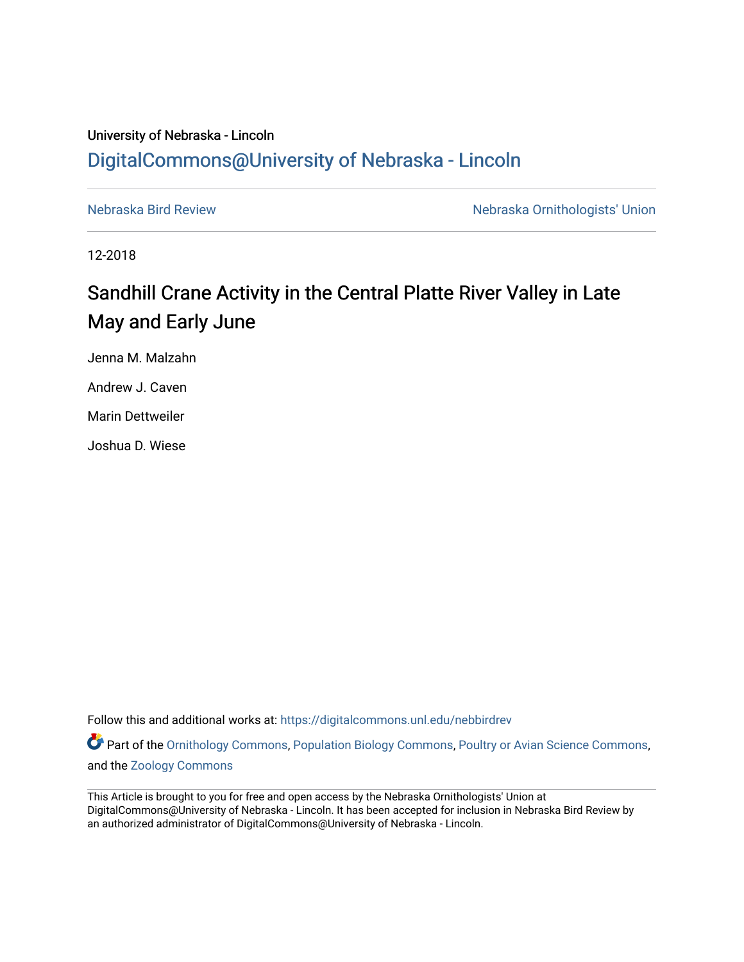## University of Nebraska - Lincoln [DigitalCommons@University of Nebraska - Lincoln](https://digitalcommons.unl.edu/)

[Nebraska Bird Review](https://digitalcommons.unl.edu/nebbirdrev) [Nebraska Ornithologists' Union](https://digitalcommons.unl.edu/nebornithologists) 

12-2018

# Sandhill Crane Activity in the Central Platte River Valley in Late May and Early June

Jenna M. Malzahn Andrew J. Caven Marin Dettweiler Joshua D. Wiese

Follow this and additional works at: [https://digitalcommons.unl.edu/nebbirdrev](https://digitalcommons.unl.edu/nebbirdrev?utm_source=digitalcommons.unl.edu%2Fnebbirdrev%2F1450&utm_medium=PDF&utm_campaign=PDFCoverPages)

Part of the [Ornithology Commons,](http://network.bepress.com/hgg/discipline/1190?utm_source=digitalcommons.unl.edu%2Fnebbirdrev%2F1450&utm_medium=PDF&utm_campaign=PDFCoverPages) [Population Biology Commons](http://network.bepress.com/hgg/discipline/19?utm_source=digitalcommons.unl.edu%2Fnebbirdrev%2F1450&utm_medium=PDF&utm_campaign=PDFCoverPages), [Poultry or Avian Science Commons,](http://network.bepress.com/hgg/discipline/80?utm_source=digitalcommons.unl.edu%2Fnebbirdrev%2F1450&utm_medium=PDF&utm_campaign=PDFCoverPages) and the [Zoology Commons](http://network.bepress.com/hgg/discipline/81?utm_source=digitalcommons.unl.edu%2Fnebbirdrev%2F1450&utm_medium=PDF&utm_campaign=PDFCoverPages) 

This Article is brought to you for free and open access by the Nebraska Ornithologists' Union at DigitalCommons@University of Nebraska - Lincoln. It has been accepted for inclusion in Nebraska Bird Review by an authorized administrator of DigitalCommons@University of Nebraska - Lincoln.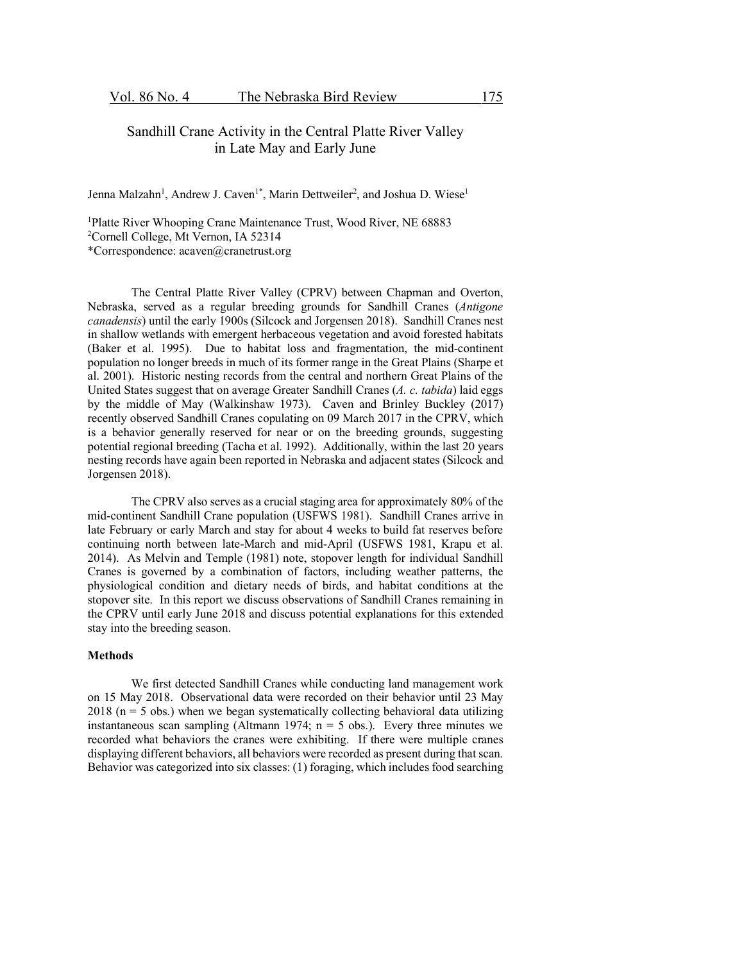### Sandhill Crane Activity in the Central Platte River Valley in Late May and Early June

Jenna Malzahn<sup>1</sup>, Andrew J. Caven<sup>1\*</sup>, Marin Dettweiler<sup>2</sup>, and Joshua D. Wiese<sup>1</sup>

<sup>1</sup>Platte River Whooping Crane Maintenance Trust, Wood River, NE 68883 2 Cornell College, Mt Vernon, IA 52314 \*Correspondence: acaven@cranetrust.org

The Central Platte River Valley (CPRV) between Chapman and Overton, Nebraska, served as a regular breeding grounds for Sandhill Cranes (*Antigone canadensis*) until the early 1900s (Silcock and Jorgensen 2018). Sandhill Cranes nest in shallow wetlands with emergent herbaceous vegetation and avoid forested habitats (Baker et al. 1995). Due to habitat loss and fragmentation, the mid-continent population no longer breeds in much of its former range in the Great Plains (Sharpe et al. 2001). Historic nesting records from the central and northern Great Plains of the United States suggest that on average Greater Sandhill Cranes (*A. c. tabida*) laid eggs by the middle of May (Walkinshaw 1973). Caven and Brinley Buckley (2017) recently observed Sandhill Cranes copulating on 09 March 2017 in the CPRV, which is a behavior generally reserved for near or on the breeding grounds, suggesting potential regional breeding (Tacha et al. 1992). Additionally, within the last 20 years nesting records have again been reported in Nebraska and adjacent states (Silcock and Jorgensen 2018).

The CPRV also serves as a crucial staging area for approximately 80% of the mid-continent Sandhill Crane population (USFWS 1981). Sandhill Cranes arrive in late February or early March and stay for about 4 weeks to build fat reserves before continuing north between late-March and mid-April (USFWS 1981, Krapu et al. 2014). As Melvin and Temple (1981) note, stopover length for individual Sandhill Cranes is governed by a combination of factors, including weather patterns, the physiological condition and dietary needs of birds, and habitat conditions at the stopover site. In this report we discuss observations of Sandhill Cranes remaining in the CPRV until early June 2018 and discuss potential explanations for this extended stay into the breeding season.

#### **Methods**

We first detected Sandhill Cranes while conducting land management work on 15 May 2018. Observational data were recorded on their behavior until 23 May  $2018$  (n = 5 obs.) when we began systematically collecting behavioral data utilizing instantaneous scan sampling (Altmann 1974;  $n = 5$  obs.). Every three minutes we recorded what behaviors the cranes were exhibiting. If there were multiple cranes displaying different behaviors, all behaviors were recorded as present during that scan. Behavior was categorized into six classes: (1) foraging, which includes food searching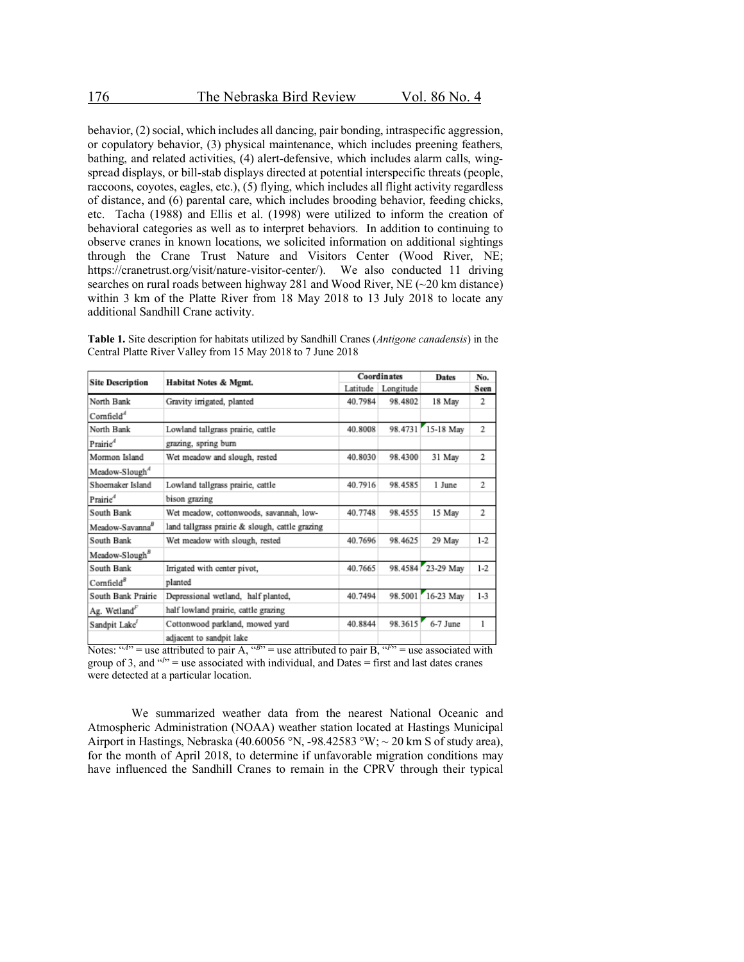behavior, (2) social, which includes all dancing, pair bonding, intraspecific aggression, or copulatory behavior, (3) physical maintenance, which includes preening feathers, bathing, and related activities, (4) alert-defensive, which includes alarm calls, wingspread displays, or bill-stab displays directed at potential interspecific threats (people, raccoons, coyotes, eagles, etc.), (5) flying, which includes all flight activity regardless of distance, and (6) parental care, which includes brooding behavior, feeding chicks, etc. Tacha (1988) and Ellis et al. (1998) were utilized to inform the creation of behavioral categories as well as to interpret behaviors. In addition to continuing to observe cranes in known locations, we solicited information on additional sightings through the Crane Trust Nature and Visitors Center (Wood River, NE; https://cranetrust.org/visit/nature-visitor-center/). We also conducted 11 driving searches on rural roads between highway 281 and Wood River, NE (~20 km distance) within 3 km of the Platte River from 18 May 2018 to 13 July 2018 to locate any additional Sandhill Crane activity.

| <b>Table 1.</b> Site description for habitats utilized by Sandhill Cranes ( <i>Antigone canadensis</i> ) in the |
|-----------------------------------------------------------------------------------------------------------------|
| Central Platte River Valley from 15 May 2018 to 7 June 2018                                                     |
|                                                                                                                 |

| <b>Site Description</b>     | Habitat Notes & Mgmt.                           | Coordinates |                    | Dates             | No.     |
|-----------------------------|-------------------------------------------------|-------------|--------------------|-------------------|---------|
|                             |                                                 |             | Latitude Longitude |                   | Seen    |
| North Bank                  | Gravity irrigated, planted                      | 40.7984     | 98.4802            | 18 May            | 2       |
| Comfield <sup>4</sup>       |                                                 |             |                    |                   |         |
| North Bank                  | Lowland tallgrass prairie, cattle               | 40.8008     | 98.4731            | 15-18 May         | 2       |
| Prairie <sup>4</sup>        | grazing, spring burn                            |             |                    |                   |         |
| Mormon Island               | Wet meadow and slough, rested                   | 40.8030     | 98.4300            | 31 May            | 2       |
| Meadow-Slough <sup>4</sup>  |                                                 |             |                    |                   |         |
| Shoemaker Island            | Lowland tallgrass prairie, cattle               | 40.7916     | 98.4585            | 1 June            | 2       |
| Prairie <sup>®</sup>        | bison grazing                                   |             |                    |                   |         |
| South Bank                  | Wet meadow, cottonwoods, savannah, low-         | 40.7748     | 98.4555            | 15 May            | 2       |
| Meadow-Savanna <sup>8</sup> | land tallgrass prairie & slough, cattle grazing |             |                    |                   |         |
| South Bank                  | Wet meadow with slough, rested                  | 40.7696     | 98.4625            | 29 May            | $1-2$   |
| Meadow-Slough <sup>8</sup>  |                                                 |             |                    |                   |         |
| South Bank                  | Irrigated with center pivot,                    | 40.7665     |                    | 98.4584 23-29 May | $1-2$   |
| Comfield <sup>8</sup>       | planted                                         |             |                    |                   |         |
| South Bank Prairie          | Depressional wetland, half planted,             | 40.7494     | 98.5001            | 16-23 May         | $1 - 3$ |
| Ag. Wetland <sup>F</sup>    | half lowland prairic, cattle grazing            |             |                    |                   |         |
| Sandpit Lake                | Cottonwood parkland, mowed yard                 | 40.8844     | 98.3615            | 6-7 June          | 1       |
|                             | adiacent to sandpit lake                        |             |                    |                   |         |

Notes:  $H(x) = 0$  attributed to pair A,  $H(x) = 0$  use attributed to pair B,  $H(x) = 0$  associated with group of 3, and  $P<sup>1</sup>$  = use associated with individual, and Dates = first and last dates cranes were detected at a particular location.

We summarized weather data from the nearest National Oceanic and Atmospheric Administration (NOAA) weather station located at Hastings Municipal Airport in Hastings, Nebraska (40.60056 °N, -98.42583 °W;  $\sim$  20 km S of study area), for the month of April 2018, to determine if unfavorable migration conditions may have influenced the Sandhill Cranes to remain in the CPRV through their typical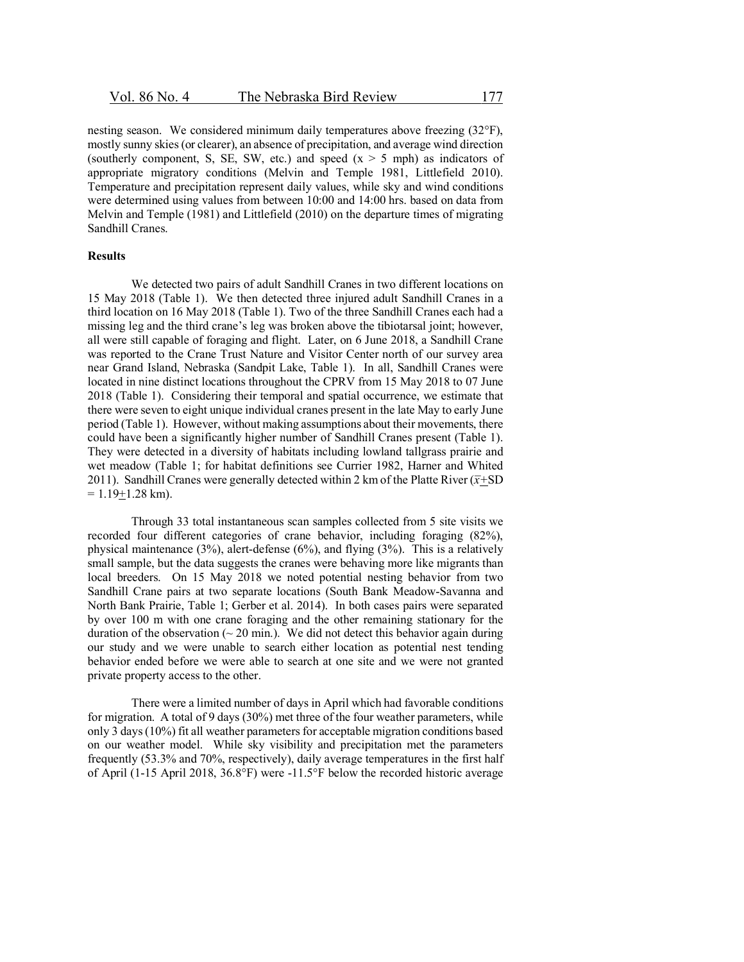nesting season. We considered minimum daily temperatures above freezing (32°F), mostly sunny skies (or clearer), an absence of precipitation, and average wind direction (southerly component, S, SE, SW, etc.) and speed  $(x > 5 \text{ mph})$  as indicators of appropriate migratory conditions (Melvin and Temple 1981, Littlefield 2010). Temperature and precipitation represent daily values, while sky and wind conditions were determined using values from between 10:00 and 14:00 hrs. based on data from Melvin and Temple (1981) and Littlefield (2010) on the departure times of migrating Sandhill Cranes.

#### **Results**

We detected two pairs of adult Sandhill Cranes in two different locations on 15 May 2018 (Table 1). We then detected three injured adult Sandhill Cranes in a third location on 16 May 2018 (Table 1). Two of the three Sandhill Cranes each had a missing leg and the third crane's leg was broken above the tibiotarsal joint; however, all were still capable of foraging and flight. Later, on 6 June 2018, a Sandhill Crane was reported to the Crane Trust Nature and Visitor Center north of our survey area near Grand Island, Nebraska (Sandpit Lake, Table 1). In all, Sandhill Cranes were located in nine distinct locations throughout the CPRV from 15 May 2018 to 07 June 2018 (Table 1). Considering their temporal and spatial occurrence, we estimate that there were seven to eight unique individual cranes present in the late May to early June period (Table 1). However, without making assumptions about their movements, there could have been a significantly higher number of Sandhill Cranes present (Table 1). They were detected in a diversity of habitats including lowland tallgrass prairie and wet meadow (Table 1; for habitat definitions see Currier 1982, Harner and Whited 2011). Sandhill Cranes were generally detected within 2 km of the Platte River ( $\bar{x}$ +SD)  $= 1.19 + 1.28$  km).

Through 33 total instantaneous scan samples collected from 5 site visits we recorded four different categories of crane behavior, including foraging (82%), physical maintenance (3%), alert-defense (6%), and flying (3%). This is a relatively small sample, but the data suggests the cranes were behaving more like migrants than local breeders. On 15 May 2018 we noted potential nesting behavior from two Sandhill Crane pairs at two separate locations (South Bank Meadow-Savanna and North Bank Prairie, Table 1; Gerber et al. 2014). In both cases pairs were separated by over 100 m with one crane foraging and the other remaining stationary for the duration of the observation ( $\sim$  20 min.). We did not detect this behavior again during our study and we were unable to search either location as potential nest tending behavior ended before we were able to search at one site and we were not granted private property access to the other.

There were a limited number of days in April which had favorable conditions for migration. A total of 9 days (30%) met three of the four weather parameters, while only 3 days (10%) fit all weather parameters for acceptable migration conditions based on our weather model. While sky visibility and precipitation met the parameters frequently (53.3% and 70%, respectively), daily average temperatures in the first half of April (1-15 April 2018, 36.8°F) were -11.5°F below the recorded historic average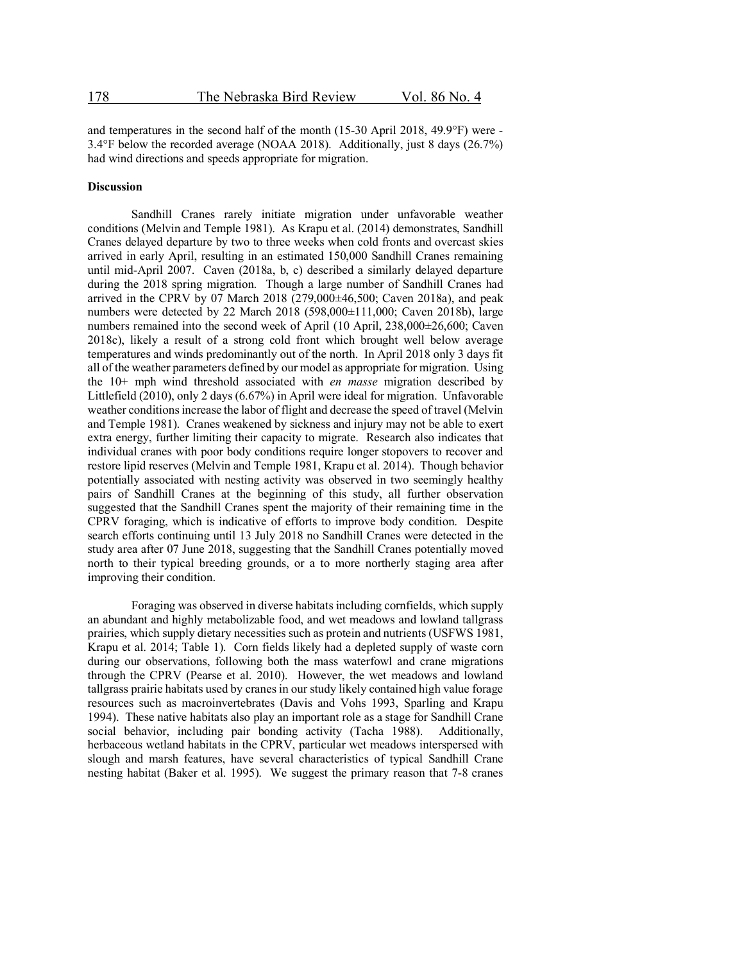and temperatures in the second half of the month (15-30 April 2018, 49.9°F) were - 3.4°F below the recorded average (NOAA 2018). Additionally, just 8 days (26.7%) had wind directions and speeds appropriate for migration.

#### **Discussion**

Sandhill Cranes rarely initiate migration under unfavorable weather conditions (Melvin and Temple 1981). As Krapu et al. (2014) demonstrates, Sandhill Cranes delayed departure by two to three weeks when cold fronts and overcast skies arrived in early April, resulting in an estimated 150,000 Sandhill Cranes remaining until mid-April 2007. Caven (2018a, b, c) described a similarly delayed departure during the 2018 spring migration. Though a large number of Sandhill Cranes had arrived in the CPRV by 07 March 2018  $(279,000\pm46,500)$ ; Caven 2018a), and peak numbers were detected by 22 March 2018 (598,000±111,000; Caven 2018b), large numbers remained into the second week of April (10 April, 238,000±26,600; Caven 2018c), likely a result of a strong cold front which brought well below average temperatures and winds predominantly out of the north. In April 2018 only 3 days fit all of the weather parameters defined by our model as appropriate for migration. Using the 10+ mph wind threshold associated with *en masse* migration described by Littlefield (2010), only 2 days (6.67%) in April were ideal for migration. Unfavorable weather conditions increase the labor of flight and decrease the speed of travel (Melvin and Temple 1981). Cranes weakened by sickness and injury may not be able to exert extra energy, further limiting their capacity to migrate. Research also indicates that individual cranes with poor body conditions require longer stopovers to recover and restore lipid reserves (Melvin and Temple 1981, Krapu et al. 2014). Though behavior potentially associated with nesting activity was observed in two seemingly healthy pairs of Sandhill Cranes at the beginning of this study, all further observation suggested that the Sandhill Cranes spent the majority of their remaining time in the CPRV foraging, which is indicative of efforts to improve body condition. Despite search efforts continuing until 13 July 2018 no Sandhill Cranes were detected in the study area after 07 June 2018, suggesting that the Sandhill Cranes potentially moved north to their typical breeding grounds, or a to more northerly staging area after improving their condition.

Foraging was observed in diverse habitats including cornfields, which supply an abundant and highly metabolizable food, and wet meadows and lowland tallgrass prairies, which supply dietary necessities such as protein and nutrients (USFWS 1981, Krapu et al. 2014; Table 1). Corn fields likely had a depleted supply of waste corn during our observations, following both the mass waterfowl and crane migrations through the CPRV (Pearse et al. 2010). However, the wet meadows and lowland tallgrass prairie habitats used by cranes in our study likely contained high value forage resources such as macroinvertebrates (Davis and Vohs 1993, Sparling and Krapu 1994). These native habitats also play an important role as a stage for Sandhill Crane social behavior, including pair bonding activity (Tacha 1988). Additionally, herbaceous wetland habitats in the CPRV, particular wet meadows interspersed with slough and marsh features, have several characteristics of typical Sandhill Crane nesting habitat (Baker et al. 1995). We suggest the primary reason that 7-8 cranes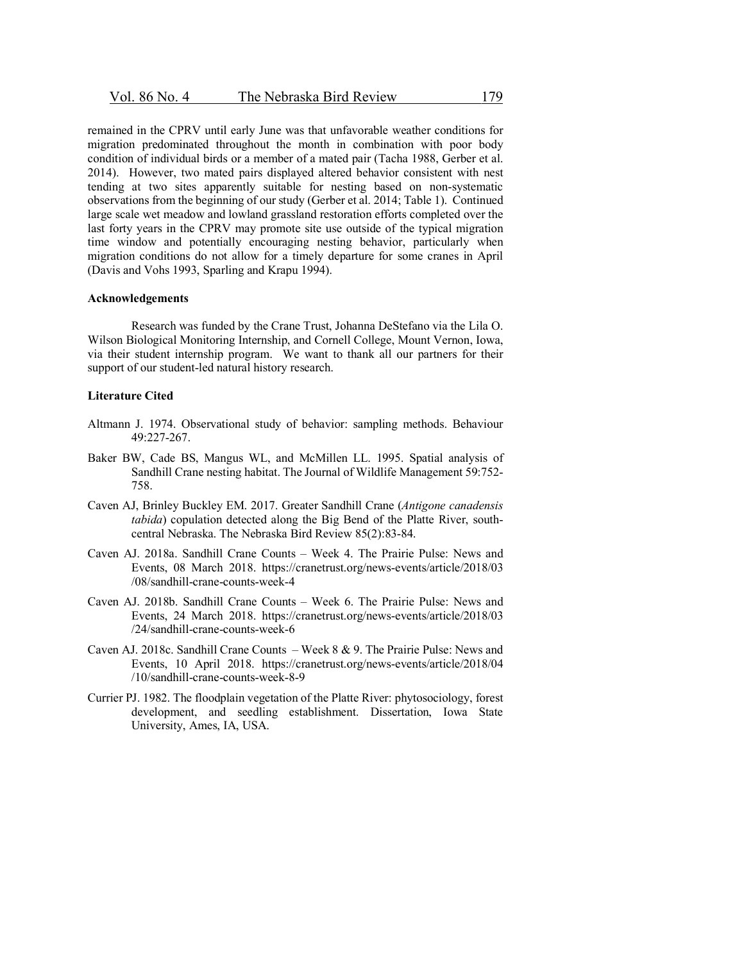remained in the CPRV until early June was that unfavorable weather conditions for migration predominated throughout the month in combination with poor body condition of individual birds or a member of a mated pair (Tacha 1988, Gerber et al. 2014). However, two mated pairs displayed altered behavior consistent with nest tending at two sites apparently suitable for nesting based on non-systematic observations from the beginning of our study (Gerber et al. 2014; Table 1). Continued large scale wet meadow and lowland grassland restoration efforts completed over the last forty years in the CPRV may promote site use outside of the typical migration time window and potentially encouraging nesting behavior, particularly when migration conditions do not allow for a timely departure for some cranes in April (Davis and Vohs 1993, Sparling and Krapu 1994).

#### **Acknowledgements**

Research was funded by the Crane Trust, Johanna DeStefano via the Lila O. Wilson Biological Monitoring Internship, and Cornell College, Mount Vernon, Iowa, via their student internship program. We want to thank all our partners for their support of our student-led natural history research.

#### **Literature Cited**

- Altmann J. 1974. Observational study of behavior: sampling methods. Behaviour 49:227-267.
- Baker BW, Cade BS, Mangus WL, and McMillen LL. 1995. Spatial analysis of Sandhill Crane nesting habitat. The Journal of Wildlife Management 59:752- 758.
- Caven AJ, Brinley Buckley EM. 2017. Greater Sandhill Crane (*Antigone canadensis tabida*) copulation detected along the Big Bend of the Platte River, southcentral Nebraska. The Nebraska Bird Review 85(2):83-84.
- Caven AJ. 2018a. Sandhill Crane Counts Week 4. The Prairie Pulse: News and Events, 08 March 2018. https://cranetrust.org/news-events/article/2018/03 /08/sandhill-crane-counts-week-4
- Caven AJ. 2018b. Sandhill Crane Counts Week 6. The Prairie Pulse: News and Events, 24 March 2018. https://cranetrust.org/news-events/article/2018/03 /24/sandhill-crane-counts-week-6
- Caven AJ. 2018c. Sandhill Crane Counts Week 8 & 9. The Prairie Pulse: News and Events, 10 April 2018. https://cranetrust.org/news-events/article/2018/04 /10/sandhill-crane-counts-week-8-9
- Currier PJ. 1982. The floodplain vegetation of the Platte River: phytosociology, forest development, and seedling establishment. Dissertation, Iowa State University, Ames, IA, USA.